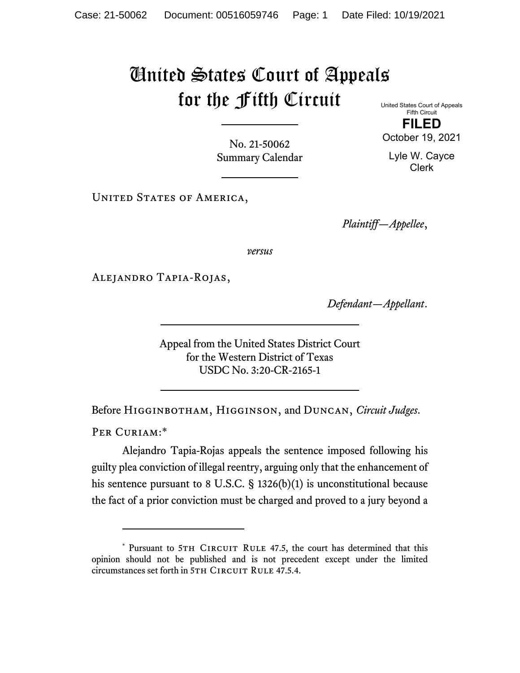## United States Court of Appeals for the Fifth Circuit

United States Court of Appeals Fifth Circuit **FILED**  October 19, 2021

Lyle W. Cayce Clerk

No. 21-50062 Summary Calendar

UNITED STATES OF AMERICA,

*Plaintiff—Appellee*,

*versus*

Alejandro Tapia-Rojas,

*Defendant—Appellant*.

Appeal from the United States District Court for the Western District of Texas USDC No. 3:20-CR-2165-1

Before Higginbotham, Higginson, and Duncan, *Circuit Judges*.

PER CURIAM:\*

Alejandro Tapia-Rojas appeals the sentence imposed following his guilty plea conviction of illegal reentry, arguing only that the enhancement of his sentence pursuant to 8 U.S.C. § 1326(b)(1) is unconstitutional because the fact of a prior conviction must be charged and proved to a jury beyond a

<sup>\*</sup> Pursuant to 5TH CIRCUIT RULE 47.5, the court has determined that this opinion should not be published and is not precedent except under the limited circumstances set forth in 5TH CIRCUIT RULE 47.5.4.